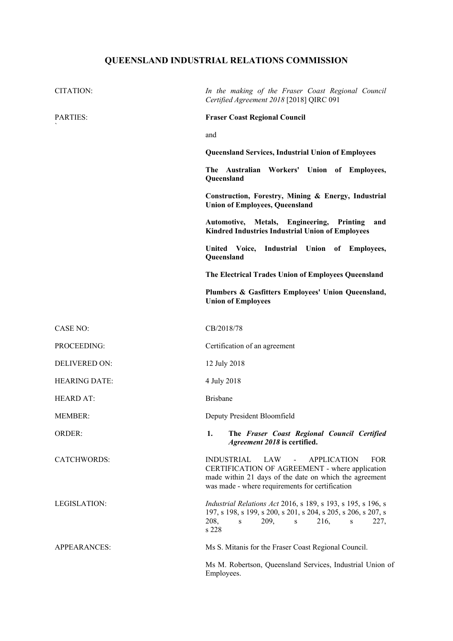## **QUEENSLAND INDUSTRIAL RELATIONS COMMISSION**

| CITATION:            | In the making of the Fraser Coast Regional Council<br>Certified Agreement 2018 [2018] QIRC 091                                                                                                                                |
|----------------------|-------------------------------------------------------------------------------------------------------------------------------------------------------------------------------------------------------------------------------|
| PARTIES:             | <b>Fraser Coast Regional Council</b>                                                                                                                                                                                          |
|                      | and                                                                                                                                                                                                                           |
|                      | <b>Queensland Services, Industrial Union of Employees</b>                                                                                                                                                                     |
|                      | The Australian Workers' Union of Employees,<br>Queensland                                                                                                                                                                     |
|                      | Construction, Forestry, Mining & Energy, Industrial<br><b>Union of Employees, Queensland</b>                                                                                                                                  |
|                      | <b>Metals,</b><br>Engineering,<br>Printing<br>Automotive,<br>and<br><b>Kindred Industries Industrial Union of Employees</b>                                                                                                   |
|                      | Industrial Union of Employees,<br>United Voice,<br>Queensland                                                                                                                                                                 |
|                      | The Electrical Trades Union of Employees Queensland                                                                                                                                                                           |
|                      | Plumbers & Gasfitters Employees' Union Queensland,<br><b>Union of Employees</b>                                                                                                                                               |
| <b>CASE NO:</b>      | CB/2018/78                                                                                                                                                                                                                    |
| PROCEEDING:          | Certification of an agreement                                                                                                                                                                                                 |
| <b>DELIVERED ON:</b> | 12 July 2018                                                                                                                                                                                                                  |
| <b>HEARING DATE:</b> | 4 July 2018                                                                                                                                                                                                                   |
| <b>HEARD AT:</b>     | <b>Brisbane</b>                                                                                                                                                                                                               |
| <b>MEMBER:</b>       | Deputy President Bloomfield                                                                                                                                                                                                   |
| ORDER:               | 1.<br>The Fraser Coast Regional Council Certified<br>Agreement 2018 is certified.                                                                                                                                             |
| <b>CATCHWORDS:</b>   | <b>INDUSTRIAL</b><br>LAW -<br><b>APPLICATION</b><br><b>FOR</b><br>CERTIFICATION OF AGREEMENT - where application<br>made within 21 days of the date on which the agreement<br>was made - where requirements for certification |
| LEGISLATION:         | <i>Industrial Relations Act</i> 2016, s 189, s 193, s 195, s 196, s<br>197, s 198, s 199, s 200, s 201, s 204, s 205, s 206, s 207, s<br>208,<br>209,<br>216,<br>227,<br>$\,$ S $\,$<br>S<br>S<br>s 228                       |
| APPEARANCES:         | Ms S. Mitanis for the Fraser Coast Regional Council.                                                                                                                                                                          |
|                      | Ms M. Robertson, Queensland Services, Industrial Union of<br>Employees.                                                                                                                                                       |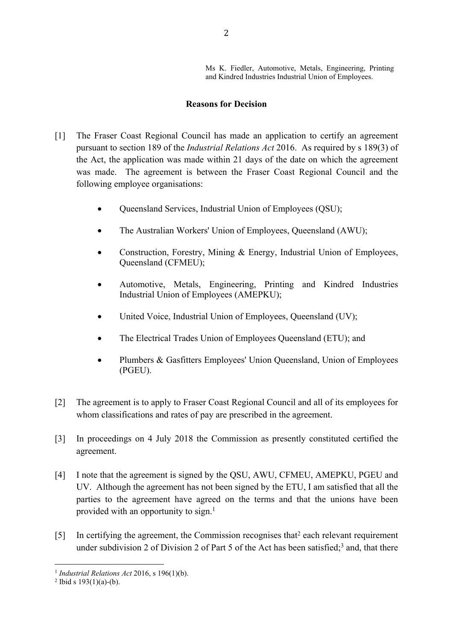Ms K. Fiedler, Automotive, Metals, Engineering, Printing and Kindred Industries Industrial Union of Employees.

## **Reasons for Decision**

- [1] The Fraser Coast Regional Council has made an application to certify an agreement pursuant to section 189 of the *Industrial Relations Act* 2016. As required by s 189(3) of the Act, the application was made within 21 days of the date on which the agreement was made. The agreement is between the Fraser Coast Regional Council and the following employee organisations:
	- Queensland Services, Industrial Union of Employees (QSU);
	- The Australian Workers' Union of Employees, Queensland (AWU);
	- Construction, Forestry, Mining & Energy, Industrial Union of Employees, Queensland (CFMEU);
	- Automotive, Metals, Engineering, Printing and Kindred Industries Industrial Union of Employees (AMEPKU);
	- United Voice, Industrial Union of Employees, Queensland (UV);
	- The Electrical Trades Union of Employees Queensland (ETU); and
	- Plumbers & Gasfitters Employees' Union Queensland, Union of Employees (PGEU).
- [2] The agreement is to apply to Fraser Coast Regional Council and all of its employees for whom classifications and rates of pay are prescribed in the agreement.
- [3] In proceedings on 4 July 2018 the Commission as presently constituted certified the agreement.
- [4] I note that the agreement is signed by the QSU, AWU, CFMEU, AMEPKU, PGEU and UV. Although the agreement has not been signed by the ETU, I am satisfied that all the parties to the agreement have agreed on the terms and that the unions have been provided with an opportunity to sign.<sup>1</sup>
- [5] In certifying the agreement, the Commission recognises that<sup>2</sup> each relevant requirement under subdivision 2 of Division 2 of Part 5 of the Act has been satisfied;<sup>3</sup> and, that there

<sup>1</sup> *Industrial Relations Act* 2016, s 196(1)(b).

 $2$  Ibid s 193(1)(a)-(b).